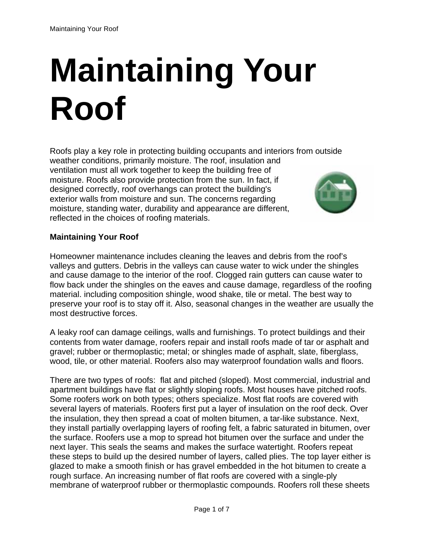# **Maintaining Your Roof**

Roofs play a key role in protecting building occupants and interiors from outside weather conditions, primarily moisture. The roof, insulation and ventilation must all work together to keep the building free of moisture. Roofs also provide protection from the sun. In fact, if designed correctly, roof overhangs can protect the building's exterior walls from moisture and sun. The concerns regarding moisture, standing water, durability and appearance are different, reflected in the choices of roofing materials.



## **Maintaining Your Roof**

Homeowner maintenance includes cleaning the leaves and debris from the roof's valleys and gutters. Debris in the valleys can cause water to wick under the shingles and cause damage to the interior of the roof. Clogged rain gutters can cause water to flow back under the shingles on the eaves and cause damage, regardless of the roofing material. including composition shingle, wood shake, tile or metal. The best way to preserve your roof is to stay off it. Also, seasonal changes in the weather are usually the most destructive forces.

A leaky roof can damage ceilings, walls and furnishings. To protect buildings and their contents from water damage, roofers repair and install roofs made of tar or asphalt and gravel; rubber or thermoplastic; metal; or shingles made of asphalt, slate, fiberglass, wood, tile, or other material. Roofers also may waterproof foundation walls and floors.

There are two types of roofs: flat and pitched (sloped). Most commercial, industrial and apartment buildings have flat or slightly sloping roofs. Most houses have pitched roofs. Some roofers work on both types; others specialize. Most flat roofs are covered with several layers of materials. Roofers first put a layer of insulation on the roof deck. Over the insulation, they then spread a coat of molten bitumen, a tar-like substance. Next, they install partially overlapping layers of roofing felt, a fabric saturated in bitumen, over the surface. Roofers use a mop to spread hot bitumen over the surface and under the next layer. This seals the seams and makes the surface watertight. Roofers repeat these steps to build up the desired number of layers, called plies. The top layer either is glazed to make a smooth finish or has gravel embedded in the hot bitumen to create a rough surface. An increasing number of flat roofs are covered with a single-ply membrane of waterproof rubber or thermoplastic compounds. Roofers roll these sheets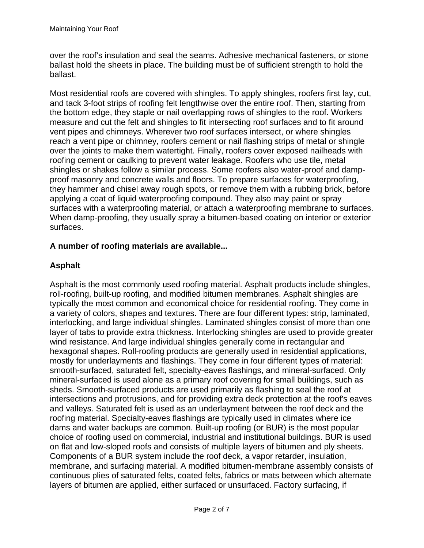over the roof's insulation and seal the seams. Adhesive mechanical fasteners, or stone ballast hold the sheets in place. The building must be of sufficient strength to hold the ballast.

Most residential roofs are covered with shingles. To apply shingles, roofers first lay, cut, and tack 3-foot strips of roofing felt lengthwise over the entire roof. Then, starting from the bottom edge, they staple or nail overlapping rows of shingles to the roof. Workers measure and cut the felt and shingles to fit intersecting roof surfaces and to fit around vent pipes and chimneys. Wherever two roof surfaces intersect, or where shingles reach a vent pipe or chimney, roofers cement or nail flashing strips of metal or shingle over the joints to make them watertight. Finally, roofers cover exposed nailheads with roofing cement or caulking to prevent water leakage. Roofers who use tile, metal shingles or shakes follow a similar process. Some roofers also water-proof and dampproof masonry and concrete walls and floors. To prepare surfaces for waterproofing, they hammer and chisel away rough spots, or remove them with a rubbing brick, before applying a coat of liquid waterproofing compound. They also may paint or spray surfaces with a waterproofing material, or attach a waterproofing membrane to surfaces. When damp-proofing, they usually spray a bitumen-based coating on interior or exterior surfaces.

# **A number of roofing materials are available...**

# **Asphalt**

Asphalt is the most commonly used roofing material. Asphalt products include shingles, roll-roofing, built-up roofing, and modified bitumen membranes. Asphalt shingles are typically the most common and economical choice for residential roofing. They come in a variety of colors, shapes and textures. There are four different types: strip, laminated, interlocking, and large individual shingles. Laminated shingles consist of more than one layer of tabs to provide extra thickness. Interlocking shingles are used to provide greater wind resistance. And large individual shingles generally come in rectangular and hexagonal shapes. Roll-roofing products are generally used in residential applications, mostly for underlayments and flashings. They come in four different types of material: smooth-surfaced, saturated felt, specialty-eaves flashings, and mineral-surfaced. Only mineral-surfaced is used alone as a primary roof covering for small buildings, such as sheds. Smooth-surfaced products are used primarily as flashing to seal the roof at intersections and protrusions, and for providing extra deck protection at the roof's eaves and valleys. Saturated felt is used as an underlayment between the roof deck and the roofing material. Specialty-eaves flashings are typically used in climates where ice dams and water backups are common. Built-up roofing (or BUR) is the most popular choice of roofing used on commercial, industrial and institutional buildings. BUR is used on flat and low-sloped roofs and consists of multiple layers of bitumen and ply sheets. Components of a BUR system include the roof deck, a vapor retarder, insulation, membrane, and surfacing material. A modified bitumen-membrane assembly consists of continuous plies of saturated felts, coated felts, fabrics or mats between which alternate layers of bitumen are applied, either surfaced or unsurfaced. Factory surfacing, if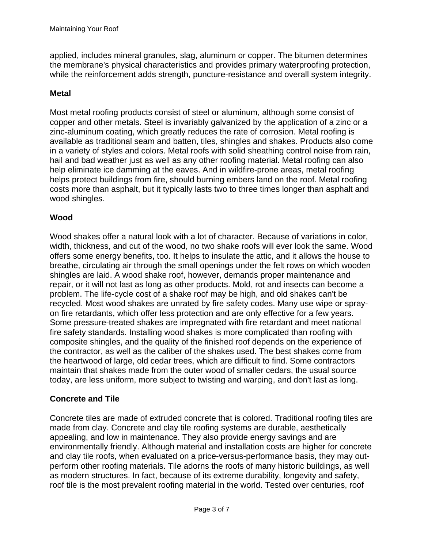applied, includes mineral granules, slag, aluminum or copper. The bitumen determines the membrane's physical characteristics and provides primary waterproofing protection, while the reinforcement adds strength, puncture-resistance and overall system integrity.

## **Metal**

Most metal roofing products consist of steel or aluminum, although some consist of copper and other metals. Steel is invariably galvanized by the application of a zinc or a zinc-aluminum coating, which greatly reduces the rate of corrosion. Metal roofing is available as traditional seam and batten, tiles, shingles and shakes. Products also come in a variety of styles and colors. Metal roofs with solid sheathing control noise from rain, hail and bad weather just as well as any other roofing material. Metal roofing can also help eliminate ice damming at the eaves. And in wildfire-prone areas, metal roofing helps protect buildings from fire, should burning embers land on the roof. Metal roofing costs more than asphalt, but it typically lasts two to three times longer than asphalt and wood shingles.

## **Wood**

Wood shakes offer a natural look with a lot of character. Because of variations in color, width, thickness, and cut of the wood, no two shake roofs will ever look the same. Wood offers some energy benefits, too. It helps to insulate the attic, and it allows the house to breathe, circulating air through the small openings under the felt rows on which wooden shingles are laid. A wood shake roof, however, demands proper maintenance and repair, or it will not last as long as other products. Mold, rot and insects can become a problem. The life-cycle cost of a shake roof may be high, and old shakes can't be recycled. Most wood shakes are unrated by fire safety codes. Many use wipe or sprayon fire retardants, which offer less protection and are only effective for a few years. Some pressure-treated shakes are impregnated with fire retardant and meet national fire safety standards. Installing wood shakes is more complicated than roofing with composite shingles, and the quality of the finished roof depends on the experience of the contractor, as well as the caliber of the shakes used. The best shakes come from the heartwood of large, old cedar trees, which are difficult to find. Some contractors maintain that shakes made from the outer wood of smaller cedars, the usual source today, are less uniform, more subject to twisting and warping, and don't last as long.

## **Concrete and Tile**

Concrete tiles are made of extruded concrete that is colored. Traditional roofing tiles are made from clay. Concrete and clay tile roofing systems are durable, aesthetically appealing, and low in maintenance. They also provide energy savings and are environmentally friendly. Although material and installation costs are higher for concrete and clay tile roofs, when evaluated on a price-versus-performance basis, they may outperform other roofing materials. Tile adorns the roofs of many historic buildings, as well as modern structures. In fact, because of its extreme durability, longevity and safety, roof tile is the most prevalent roofing material in the world. Tested over centuries, roof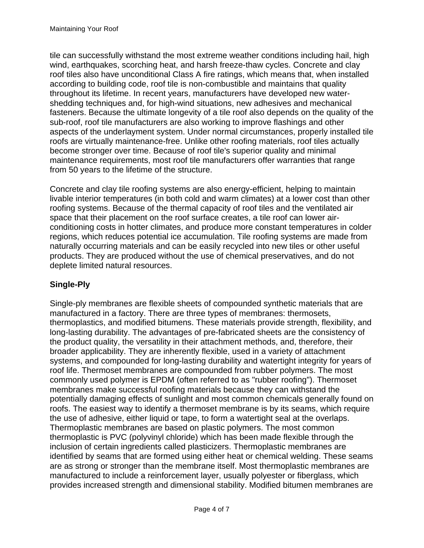tile can successfully withstand the most extreme weather conditions including hail, high wind, earthquakes, scorching heat, and harsh freeze-thaw cycles. Concrete and clay roof tiles also have unconditional Class A fire ratings, which means that, when installed according to building code, roof tile is non-combustible and maintains that quality throughout its lifetime. In recent years, manufacturers have developed new watershedding techniques and, for high-wind situations, new adhesives and mechanical fasteners. Because the ultimate longevity of a tile roof also depends on the quality of the sub-roof, roof tile manufacturers are also working to improve flashings and other aspects of the underlayment system. Under normal circumstances, properly installed tile roofs are virtually maintenance-free. Unlike other roofing materials, roof tiles actually become stronger over time. Because of roof tile's superior quality and minimal maintenance requirements, most roof tile manufacturers offer warranties that range from 50 years to the lifetime of the structure.

Concrete and clay tile roofing systems are also energy-efficient, helping to maintain livable interior temperatures (in both cold and warm climates) at a lower cost than other roofing systems. Because of the thermal capacity of roof tiles and the ventilated air space that their placement on the roof surface creates, a tile roof can lower airconditioning costs in hotter climates, and produce more constant temperatures in colder regions, which reduces potential ice accumulation. Tile roofing systems are made from naturally occurring materials and can be easily recycled into new tiles or other useful products. They are produced without the use of chemical preservatives, and do not deplete limited natural resources.

# **Single-Ply**

Single-ply membranes are flexible sheets of compounded synthetic materials that are manufactured in a factory. There are three types of membranes: thermosets, thermoplastics, and modified bitumens. These materials provide strength, flexibility, and long-lasting durability. The advantages of pre-fabricated sheets are the consistency of the product quality, the versatility in their attachment methods, and, therefore, their broader applicability. They are inherently flexible, used in a variety of attachment systems, and compounded for long-lasting durability and watertight integrity for years of roof life. Thermoset membranes are compounded from rubber polymers. The most commonly used polymer is EPDM (often referred to as "rubber roofing"). Thermoset membranes make successful roofing materials because they can withstand the potentially damaging effects of sunlight and most common chemicals generally found on roofs. The easiest way to identify a thermoset membrane is by its seams, which require the use of adhesive, either liquid or tape, to form a watertight seal at the overlaps. Thermoplastic membranes are based on plastic polymers. The most common thermoplastic is PVC (polyvinyl chloride) which has been made flexible through the inclusion of certain ingredients called plasticizers. Thermoplastic membranes are identified by seams that are formed using either heat or chemical welding. These seams are as strong or stronger than the membrane itself. Most thermoplastic membranes are manufactured to include a reinforcement layer, usually polyester or fiberglass, which provides increased strength and dimensional stability. Modified bitumen membranes are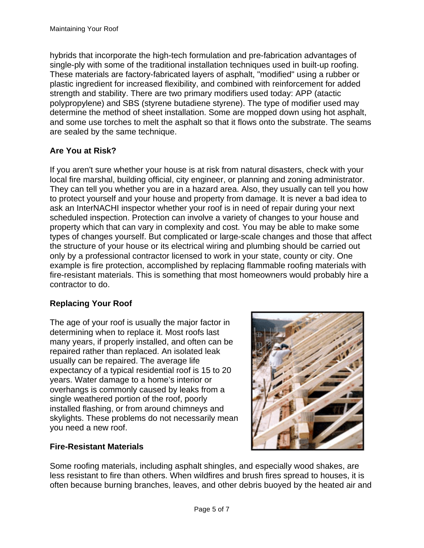hybrids that incorporate the high-tech formulation and pre-fabrication advantages of single-ply with some of the traditional installation techniques used in built-up roofing. These materials are factory-fabricated layers of asphalt, "modified" using a rubber or plastic ingredient for increased flexibility, and combined with reinforcement for added strength and stability. There are two primary modifiers used today: APP (atactic polypropylene) and SBS (styrene butadiene styrene). The type of modifier used may determine the method of sheet installation. Some are mopped down using hot asphalt, and some use torches to melt the asphalt so that it flows onto the substrate. The seams are sealed by the same technique.

# **Are You at Risk?**

If you aren't sure whether your house is at risk from natural disasters, check with your local fire marshal, building official, city engineer, or planning and zoning administrator. They can tell you whether you are in a hazard area. Also, they usually can tell you how to protect yourself and your house and property from damage. It is never a bad idea to ask an InterNACHI inspector whether your roof is in need of repair during your next scheduled inspection. Protection can involve a variety of changes to your house and property which that can vary in complexity and cost. You may be able to make some types of changes yourself. But complicated or large-scale changes and those that affect the structure of your house or its electrical wiring and plumbing should be carried out only by a professional contractor licensed to work in your state, county or city. One example is fire protection, accomplished by replacing flammable roofing materials with fire-resistant materials. This is something that most homeowners would probably hire a contractor to do.

# **Replacing Your Roof**

The age of your roof is usually the major factor in determining when to replace it. Most roofs last many years, if properly installed, and often can be repaired rather than replaced. An isolated leak usually can be repaired. The average life expectancy of a typical residential roof is 15 to 20 years. Water damage to a home's interior or overhangs is commonly caused by leaks from a single weathered portion of the roof, poorly installed flashing, or from around chimneys and skylights. These problems do not necessarily mean you need a new roof.

# **Fire-Resistant Materials**



Some roofing materials, including asphalt shingles, and especially wood shakes, are less resistant to fire than others. When wildfires and brush fires spread to houses, it is often because burning branches, leaves, and other debris buoyed by the heated air and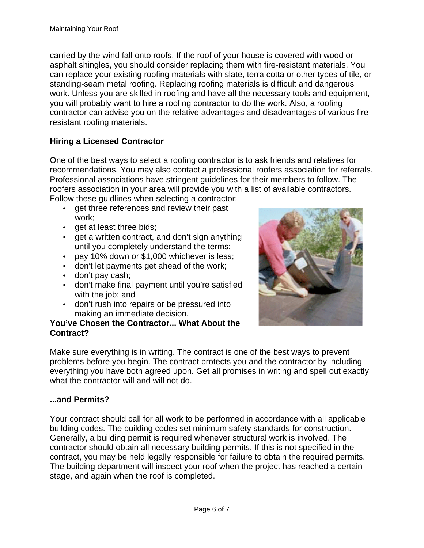carried by the wind fall onto roofs. If the roof of your house is covered with wood or asphalt shingles, you should consider replacing them with fire-resistant materials. You can replace your existing roofing materials with slate, terra cotta or other types of tile, or standing-seam metal roofing. Replacing roofing materials is difficult and dangerous work. Unless you are skilled in roofing and have all the necessary tools and equipment, you will probably want to hire a roofing contractor to do the work. Also, a roofing contractor can advise you on the relative advantages and disadvantages of various fireresistant roofing materials.

# **Hiring a Licensed Contractor**

One of the best ways to select a roofing contractor is to ask friends and relatives for recommendations. You may also contact a professional roofers association for referrals. Professional associations have stringent guidelines for their members to follow. The roofers association in your area will provide you with a list of available contractors. Follow these guidlines when selecting a contractor:

- get three references and review their past work;
- get at least three bids;
- get a written contract, and don't sign anything until you completely understand the terms;
- pay 10% down or \$1,000 whichever is less;
- don't let payments get ahead of the work;
- don't pay cash;
- don't make final payment until you're satisfied with the job; and
- don't rush into repairs or be pressured into making an immediate decision.

### **You've Chosen the Contractor... What About the Contract?**



Make sure everything is in writing. The contract is one of the best ways to prevent problems before you begin. The contract protects you and the contractor by including everything you have both agreed upon. Get all promises in writing and spell out exactly what the contractor will and will not do.

### **...and Permits?**

Your contract should call for all work to be performed in accordance with all applicable building codes. The building codes set minimum safety standards for construction. Generally, a building permit is required whenever structural work is involved. The contractor should obtain all necessary building permits. If this is not specified in the contract, you may be held legally responsible for failure to obtain the required permits. The building department will inspect your roof when the project has reached a certain stage, and again when the roof is completed.